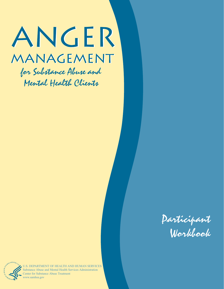# ANGER MANAGEMENT

for Substance Abuse and Mental Health Clients





U.S. DEPARTMENT OF HEALTH AND HUMAN SERVICES Substance Abuse and Mental Health Services Administration Center for Substance Abuse Treatment www.samhsa.gov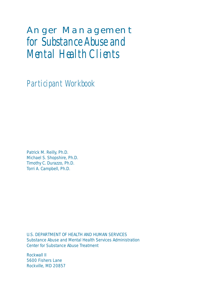Participant Workbook

Patrick M. Reilly, Ph.D. Michael S. Shopshire, Ph.D. Timothy C. Durazzo, Ph.D. Torri A. Campbell, Ph.D.

U.S. DEPARTMENT OF HEALTH AND HUMAN SERVICES Substance Abuse and Mental Health Services Administration Center for Substance Abuse Treatment

Rockwall II 5600 Fishers Lane Rockville, MD 20857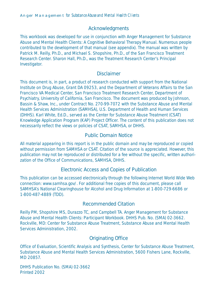# Acknowledgments

This workbook was developed for use in conjunction with *Anger Management for Substance Abuse and Mental Health Clients: A Cognitive Behavioral Therapy Manual*. Numerous people contributed to the development of that manual (see appendix). The manual was written by Patrick M. Reilly, Ph.D., and Michael S. Shopshire, Ph.D., of the San Francisco Treatment Research Center. Sharon Hall, Ph.D., was the Treatment Research Center's Principal Investigator.

### Disclaimer

This document is, in part, a product of research conducted with support from the National Institute on Drug Abuse, Grant DA 09253, and the Department of Veterans Affairs to the San Francisco VA Medical Center, San Francisco Treatment Research Center, Department of Psychiatry, University of California, San Francisco. The document was produced by Johnson, Bassin & Shaw, Inc., under Contract No. 270-99-7072 with the Substance Abuse and Mental Health Services Administration (SAMHSA), U.S. Department of Health and Human Services (DHHS). Karl White, Ed.D., served as the Center for Substance Abuse Treatment (CSAT) Knowledge Application Program (KAP) Project Officer. The content of this publication does not necessarily reflect the views or policies of CSAT, SAMHSA, or DHHS.

# Public Domain Notice

All material appearing in this report is in the public domain and may be reproduced or copied without permission from SAMHSA or CSAT. Citation of the source is appreciated. However, this publication may *not* be reproduced or distributed for a fee without the specific, written authorization of the Office of Communications, SAMHSA, DHHS.

### Electronic Access and Copies of Publication

This publication can be accessed electronically through the following Internet World Wide Web connection: www.samhsa.gov/. For additional free copies of this document, please call SAMHSA's National Clearinghouse for Alcohol and Drug Information at 1-800-729-6686 or 1-800-487-4889 (TDD).

### Recommended Citation

Reilly PM, Shopshire MS, Durazzo TC, and Campbell TA. *Anger Management for Substance Abuse and Mental Health Clients: Participant Workbook*. DHHS Pub. No. (SMA) 02-3662. Rockville, MD: Center for Substance Abuse Treatment, Substance Abuse and Mental Health Services Administration, 2002.

# Originating Office

Office of Evaluation, Scientific Analysis and Synthesis, Center for Substance Abuse Treatment, Substance Abuse and Mental Health Services Administration, 5600 Fishers Lane, Rockville, MD 20857.

DHHS Publication No. (SMA) 02-3662 Printed 2002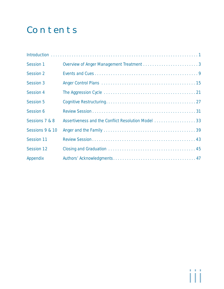# **Contents**

| Session 1        |                                                     |
|------------------|-----------------------------------------------------|
| Session 2        |                                                     |
| Session 3        |                                                     |
| Session 4        |                                                     |
| <b>Session 5</b> |                                                     |
| Session 6        |                                                     |
| Sessions 7 & 8   | Assertiveness and the Conflict Resolution Model  33 |
| Sessions 9 & 10  |                                                     |
| Session 11       |                                                     |
| Session 12       |                                                     |
| Appendix         |                                                     |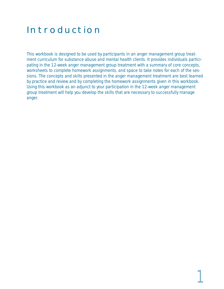# Introduction

This workbook is designed to be used by participants in an anger management group treatment curriculum for substance abuse and mental health clients. It provides individuals participating in the 12-week anger management group treatment with a summary of core concepts, worksheets to complete homework assignments, and space to take notes for each of the sessions. The concepts and skills presented in the anger management treatment are best learned by practice and review and by completing the homework assignments given in this workbook. Using this workbook as an adjunct to your participation in the 12-week anger management group treatment will help you develop the skills that are necessary to successfully manage anger.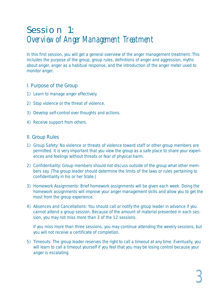# Session 1: Overview of Anger Management Treatment

In this first session, you will get a general overview of the anger management treatment. This includes the purpose of the group, group rules, definitions of anger and aggression, myths about anger, anger as a habitual response, and the introduction of the anger meter used to monitor anger.

#### I. Purpose of the Group

- 1) Learn to manage anger effectively.
- 2) Stop violence or the threat of violence.
- 3) Develop self-control over thoughts and actions.
- 4) Receive support from others.

#### II. Group Rules

- 1) *Group Safety:* No violence or threats of violence toward staff or other group members are permitted. It is very important that you view the group as a safe place to share your experiences and feelings without threats or fear of physical harm.
- 2) *Confidentiality:* Group members should not discuss outside of the group what other members say. (The group leader should determine the limits of the laws or rules pertaining to confidentiality in his or her State.)
- 3) *Homework Assignments:* Brief homework assignments will be given each week. Doing the homework assignments will improve your anger management skills and allow you to get the most from the group experience.
- 4) *Absences and Cancellations:* You should call or notify the group leader in advance if you cannot attend a group session. Because of the amount of material presented in each session, you may not miss more than 3 of the 12 sessions.

If you miss more than three sessions, you may continue attending the weekly sessions, but you will not receive a certificate of completion.

5) *Timeouts:* The group leader reserves the right to call a timeout at any time. Eventually, you will learn to call a timeout yourself if you feel that you may be losing control because your anger is escalating.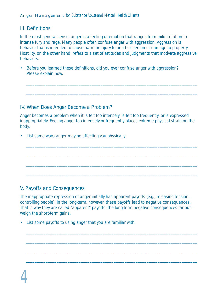### III. Definitions

In the most general sense, anger is a feeling or emotion that ranges from mild irritation to intense fury and rage. Many people often confuse anger with aggression. Aggression is behavior that is intended to cause harm or injury to another person or damage to property. Hostility, on the other hand, refers to a set of attitudes and judgments that motivate aggressive behaviors.

\_\_\_\_\_\_\_\_\_\_\_\_\_\_\_\_\_\_\_\_\_\_\_\_\_\_\_\_\_\_\_\_\_\_\_\_\_\_\_\_\_\_\_\_\_\_\_\_\_\_\_\_\_\_\_\_\_\_\_\_\_\_\_\_\_\_\_\_\_\_\_\_\_\_\_\_\_\_

\_\_\_\_\_\_\_\_\_\_\_\_\_\_\_\_\_\_\_\_\_\_\_\_\_\_\_\_\_\_\_\_\_\_\_\_\_\_\_\_\_\_\_\_\_\_\_\_\_\_\_\_\_\_\_\_\_\_\_\_\_\_\_\_\_\_\_\_\_\_\_\_\_\_\_\_\_\_

• Before you learned these definitions, did you ever confuse anger with aggression? Please explain how.

### IV. When Does Anger Become a Problem?

Anger becomes a problem when it is felt too intensely, is felt too frequently, or is expressed inappropriately. Feeling anger too intensely or frequently places extreme physical strain on the body.

\_\_\_\_\_\_\_\_\_\_\_\_\_\_\_\_\_\_\_\_\_\_\_\_\_\_\_\_\_\_\_\_\_\_\_\_\_\_\_\_\_\_\_\_\_\_\_\_\_\_\_\_\_\_\_\_\_\_\_\_\_\_\_\_\_\_\_\_\_\_\_\_\_\_\_\_\_\_

\_\_\_\_\_\_\_\_\_\_\_\_\_\_\_\_\_\_\_\_\_\_\_\_\_\_\_\_\_\_\_\_\_\_\_\_\_\_\_\_\_\_\_\_\_\_\_\_\_\_\_\_\_\_\_\_\_\_\_\_\_\_\_\_\_\_\_\_\_\_\_\_\_\_\_\_\_\_

\_\_\_\_\_\_\_\_\_\_\_\_\_\_\_\_\_\_\_\_\_\_\_\_\_\_\_\_\_\_\_\_\_\_\_\_\_\_\_\_\_\_\_\_\_\_\_\_\_\_\_\_\_\_\_\_\_\_\_\_\_\_\_\_\_\_\_\_\_\_\_\_\_\_\_\_\_\_

\_\_\_\_\_\_\_\_\_\_\_\_\_\_\_\_\_\_\_\_\_\_\_\_\_\_\_\_\_\_\_\_\_\_\_\_\_\_\_\_\_\_\_\_\_\_\_\_\_\_\_\_\_\_\_\_\_\_\_\_\_\_\_\_\_\_\_\_\_\_\_\_\_\_\_\_\_\_

• List some ways anger may be affecting you physically.

### V. Payoffs and Consequences

The inappropriate expression of anger initially has apparent payoffs (e.g., releasing tension, controlling people). In the long-term, however, these payoffs lead to negative consequences. That is why they are called "apparent" payoffs; the long-term negative consequences far outweigh the short-term gains.

\_\_\_\_\_\_\_\_\_\_\_\_\_\_\_\_\_\_\_\_\_\_\_\_\_\_\_\_\_\_\_\_\_\_\_\_\_\_\_\_\_\_\_\_\_\_\_\_\_\_\_\_\_\_\_\_\_\_\_\_\_\_\_\_\_\_\_\_\_\_\_\_\_\_\_\_\_\_

\_\_\_\_\_\_\_\_\_\_\_\_\_\_\_\_\_\_\_\_\_\_\_\_\_\_\_\_\_\_\_\_\_\_\_\_\_\_\_\_\_\_\_\_\_\_\_\_\_\_\_\_\_\_\_\_\_\_\_\_\_\_\_\_\_\_\_\_\_\_\_\_\_\_\_\_\_\_

\_\_\_\_\_\_\_\_\_\_\_\_\_\_\_\_\_\_\_\_\_\_\_\_\_\_\_\_\_\_\_\_\_\_\_\_\_\_\_\_\_\_\_\_\_\_\_\_\_\_\_\_\_\_\_\_\_\_\_\_\_\_\_\_\_\_\_\_\_\_\_\_\_\_\_\_\_\_

\_\_\_\_\_\_\_\_\_\_\_\_\_\_\_\_\_\_\_\_\_\_\_\_\_\_\_\_\_\_\_\_\_\_\_\_\_\_\_\_\_\_\_\_\_\_\_\_\_\_\_\_\_\_\_\_\_\_\_\_\_\_\_\_\_\_\_\_\_\_\_\_\_\_\_\_\_\_

• List some payoffs to using anger that you are familiar with.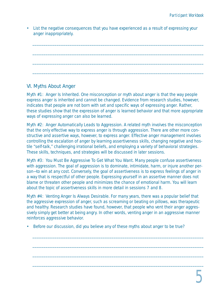• List the negative consequences that you have experienced as a result of expressing your anger inappropriately.

\_\_\_\_\_\_\_\_\_\_\_\_\_\_\_\_\_\_\_\_\_\_\_\_\_\_\_\_\_\_\_\_\_\_\_\_\_\_\_\_\_\_\_\_\_\_\_\_\_\_\_\_\_\_\_\_\_\_\_\_\_\_\_\_\_\_\_\_\_\_\_\_\_\_\_\_\_\_

\_\_\_\_\_\_\_\_\_\_\_\_\_\_\_\_\_\_\_\_\_\_\_\_\_\_\_\_\_\_\_\_\_\_\_\_\_\_\_\_\_\_\_\_\_\_\_\_\_\_\_\_\_\_\_\_\_\_\_\_\_\_\_\_\_\_\_\_\_\_\_\_\_\_\_\_\_\_

\_\_\_\_\_\_\_\_\_\_\_\_\_\_\_\_\_\_\_\_\_\_\_\_\_\_\_\_\_\_\_\_\_\_\_\_\_\_\_\_\_\_\_\_\_\_\_\_\_\_\_\_\_\_\_\_\_\_\_\_\_\_\_\_\_\_\_\_\_\_\_\_\_\_\_\_\_\_

\_\_\_\_\_\_\_\_\_\_\_\_\_\_\_\_\_\_\_\_\_\_\_\_\_\_\_\_\_\_\_\_\_\_\_\_\_\_\_\_\_\_\_\_\_\_\_\_\_\_\_\_\_\_\_\_\_\_\_\_\_\_\_\_\_\_\_\_\_\_\_\_\_\_\_\_\_\_

# VI. Myths About Anger

*Myth #1: Anger Is Inherited.* One misconception or myth about anger is that the way people express anger is inherited and cannot be changed. Evidence from research studies, however, indicates that people are not born with set and specific ways of expressing anger. Rather, these studies show that the expression of anger is learned behavior and that more appropriate ways of expressing anger can also be learned.

*Myth #2: Anger Automatically Leads to Aggression.* A related myth involves the misconception that the only effective way to express anger is through aggression. There are other more constructive and assertive ways, however, to express anger. Effective anger management involves controlling the escalation of anger by learning assertiveness skills, changing negative and hostile "self-talk," challenging irrational beliefs, and employing a variety of behavioral strategies. These skills, techniques, and strategies will be discussed in later sessions.

*Myth #3: You Must Be Aggressive To Get What You Want.* Many people confuse assertiveness with aggression. The goal of aggression is to dominate, intimidate, harm, or injure another person—to win at any cost. Conversely, the goal of assertiveness is to express feelings of anger in a way that is respectful of other people. Expressing yourself in an assertive manner does not blame or threaten other people and minimizes the chance of emotional harm. You will learn about the topic of assertiveness skills in more detail in sessions 7 and 8.

*Myth #4: Venting Anger Is Always Desirable.* For many years, there was a popular belief that the aggressive expression of anger, such as screaming or beating on pillows, was therapeutic and healthy. Research studies have found, however, that people who vent their anger aggressively simply get better at being angry. In other words, venting anger in an aggressive manner reinforces aggressive behavior.

\_\_\_\_\_\_\_\_\_\_\_\_\_\_\_\_\_\_\_\_\_\_\_\_\_\_\_\_\_\_\_\_\_\_\_\_\_\_\_\_\_\_\_\_\_\_\_\_\_\_\_\_\_\_\_\_\_\_\_\_\_\_\_\_\_\_\_\_\_\_\_\_\_\_\_\_\_\_

\_\_\_\_\_\_\_\_\_\_\_\_\_\_\_\_\_\_\_\_\_\_\_\_\_\_\_\_\_\_\_\_\_\_\_\_\_\_\_\_\_\_\_\_\_\_\_\_\_\_\_\_\_\_\_\_\_\_\_\_\_\_\_\_\_\_\_\_\_\_\_\_\_\_\_\_\_\_

\_\_\_\_\_\_\_\_\_\_\_\_\_\_\_\_\_\_\_\_\_\_\_\_\_\_\_\_\_\_\_\_\_\_\_\_\_\_\_\_\_\_\_\_\_\_\_\_\_\_\_\_\_\_\_\_\_\_\_\_\_\_\_\_\_\_\_\_\_\_\_\_\_\_\_\_\_\_

\_\_\_\_\_\_\_\_\_\_\_\_\_\_\_\_\_\_\_\_\_\_\_\_\_\_\_\_\_\_\_\_\_\_\_\_\_\_\_\_\_\_\_\_\_\_\_\_\_\_\_\_\_\_\_\_\_\_\_\_\_\_\_\_\_\_\_\_\_\_\_\_\_\_\_\_\_\_

• Before our discussion, did you believe any of these myths about anger to be true?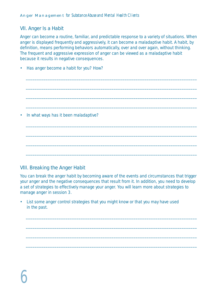### VII. Anger Is a Habit

Anger can become a routine, familiar, and predictable response to a variety of situations. When anger is displayed frequently and aggressively, it can become a maladaptive habit. A habit, by definition, means performing behaviors automatically, over and over again, without thinking. The frequent and aggressive expression of anger can be viewed as a maladaptive habit because it results in negative consequences.

| • Has anger become a habit for you? How? |
|------------------------------------------|
|                                          |
|                                          |
|                                          |
| • In what ways has it been maladaptive?  |
|                                          |
|                                          |
|                                          |

### VIII. Breaking the Anger Habit

You can break the anger habit by becoming aware of the events and circumstances that trigger your anger and the negative consequences that result from it. In addition, you need to develop a set of strategies to effectively manage your anger. You will learn more about strategies to manage anger in session 3.

\_\_\_\_\_\_\_\_\_\_\_\_\_\_\_\_\_\_\_\_\_\_\_\_\_\_\_\_\_\_\_\_\_\_\_\_\_\_\_\_\_\_\_\_\_\_\_\_\_\_\_\_\_\_\_\_\_\_\_\_\_\_\_\_\_\_\_\_\_\_\_\_\_\_\_\_\_\_

\_\_\_\_\_\_\_\_\_\_\_\_\_\_\_\_\_\_\_\_\_\_\_\_\_\_\_\_\_\_\_\_\_\_\_\_\_\_\_\_\_\_\_\_\_\_\_\_\_\_\_\_\_\_\_\_\_\_\_\_\_\_\_\_\_\_\_\_\_\_\_\_\_\_\_\_\_\_

\_\_\_\_\_\_\_\_\_\_\_\_\_\_\_\_\_\_\_\_\_\_\_\_\_\_\_\_\_\_\_\_\_\_\_\_\_\_\_\_\_\_\_\_\_\_\_\_\_\_\_\_\_\_\_\_\_\_\_\_\_\_\_\_\_\_\_\_\_\_\_\_\_\_\_\_\_\_

\_\_\_\_\_\_\_\_\_\_\_\_\_\_\_\_\_\_\_\_\_\_\_\_\_\_\_\_\_\_\_\_\_\_\_\_\_\_\_\_\_\_\_\_\_\_\_\_\_\_\_\_\_\_\_\_\_\_\_\_\_\_\_\_\_\_\_\_\_\_\_\_\_\_\_\_\_\_

• List some anger control strategies that you might know or that you may have used in the past.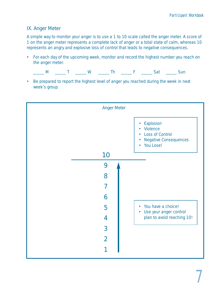### IX. Anger Meter

A simple way to monitor your anger is to use a 1 to 10 scale called the anger meter. A score of 1 on the anger meter represents a complete lack of anger or a total state of calm, whereas 10 represents an angry and explosive loss of control that leads to negative consequences.

• For each day of the upcoming week, monitor and record the highest number you reach on the anger meter.

|--|--|

• Be prepared to report the highest level of anger you reached during the week in next week's group.

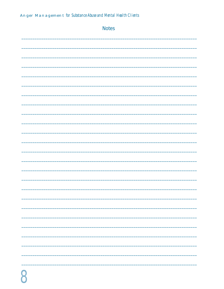| <b>Notes</b> |
|--------------|
|              |
|              |
|              |
|              |
|              |
|              |
|              |
|              |
|              |
|              |
|              |
|              |
|              |
|              |
| -            |
| --           |
|              |
|              |
|              |
|              |
|              |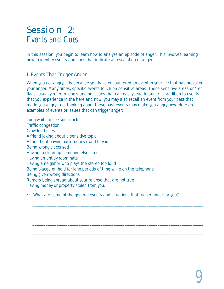# Session 2: Events and Cues

In this session, you begin to learn how to analyze an episode of anger. This involves learning how to identify events and cues that indicate an escalation of anger.

# I. Events That Trigger Anger

When you get angry, it is because you have encountered an event in your life that has provoked your anger. Many times, specific events touch on sensitive areas. These sensitive areas or "red flags" usually refer to long-standing issues that can easily lead to anger. In addition to events that you experience in the here and now, you may also recall an event from your past that made you angry. Just thinking about these past events may make you angry now. Here are examples of events or issues that can trigger anger:

Long waits to see your doctor Traffic congestion Crowded buses A friend joking about a sensitive topic A friend not paying back money owed to you Being wrongly accused Having to clean up someone else's mess Having an untidy roommate Having a neighbor who plays the stereo too loud Being placed on hold for long periods of time while on the telephone Being given wrong directions Rumors being spread about your relapse that are not true Having money or property stolen from you.

• What are some of the general events and situations that trigger anger for you?

\_\_\_\_\_\_\_\_\_\_\_\_\_\_\_\_\_\_\_\_\_\_\_\_\_\_\_\_\_\_\_\_\_\_\_\_\_\_\_\_\_\_\_\_\_\_\_\_\_\_\_\_\_\_\_\_\_\_\_\_\_\_\_\_\_\_\_\_\_\_\_\_\_\_\_\_\_\_

\_\_\_\_\_\_\_\_\_\_\_\_\_\_\_\_\_\_\_\_\_\_\_\_\_\_\_\_\_\_\_\_\_\_\_\_\_\_\_\_\_\_\_\_\_\_\_\_\_\_\_\_\_\_\_\_\_\_\_\_\_\_\_\_\_\_\_\_\_\_\_\_\_\_\_\_\_\_

\_\_\_\_\_\_\_\_\_\_\_\_\_\_\_\_\_\_\_\_\_\_\_\_\_\_\_\_\_\_\_\_\_\_\_\_\_\_\_\_\_\_\_\_\_\_\_\_\_\_\_\_\_\_\_\_\_\_\_\_\_\_\_\_\_\_\_\_\_\_\_\_\_\_\_\_\_\_

\_\_\_\_\_\_\_\_\_\_\_\_\_\_\_\_\_\_\_\_\_\_\_\_\_\_\_\_\_\_\_\_\_\_\_\_\_\_\_\_\_\_\_\_\_\_\_\_\_\_\_\_\_\_\_\_\_\_\_\_\_\_\_\_\_\_\_\_\_\_\_\_\_\_\_\_\_\_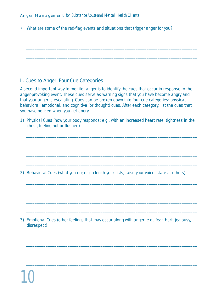• What are some of the red-flag events and situations that trigger anger for you?

\_\_\_\_\_\_\_\_\_\_\_\_\_\_\_\_\_\_\_\_\_\_\_\_\_\_\_\_\_\_\_\_\_\_\_\_\_\_\_\_\_\_\_\_\_\_\_\_\_\_\_\_\_\_\_\_\_\_\_\_\_\_\_\_\_\_\_\_\_\_\_\_\_\_\_\_\_\_

\_\_\_\_\_\_\_\_\_\_\_\_\_\_\_\_\_\_\_\_\_\_\_\_\_\_\_\_\_\_\_\_\_\_\_\_\_\_\_\_\_\_\_\_\_\_\_\_\_\_\_\_\_\_\_\_\_\_\_\_\_\_\_\_\_\_\_\_\_\_\_\_\_\_\_\_\_\_

\_\_\_\_\_\_\_\_\_\_\_\_\_\_\_\_\_\_\_\_\_\_\_\_\_\_\_\_\_\_\_\_\_\_\_\_\_\_\_\_\_\_\_\_\_\_\_\_\_\_\_\_\_\_\_\_\_\_\_\_\_\_\_\_\_\_\_\_\_\_\_\_\_\_\_\_\_\_

\_\_\_\_\_\_\_\_\_\_\_\_\_\_\_\_\_\_\_\_\_\_\_\_\_\_\_\_\_\_\_\_\_\_\_\_\_\_\_\_\_\_\_\_\_\_\_\_\_\_\_\_\_\_\_\_\_\_\_\_\_\_\_\_\_\_\_\_\_\_\_\_\_\_\_\_\_\_

# II. Cues to Anger: Four Cue Categories

A second important way to monitor anger is to identify the cues that occur in response to the anger-provoking event. These cues serve as warning signs that you have become angry and that your anger is escalating. Cues can be broken down into four cue categories: physical, behavioral, emotional, and cognitive (or thought) cues. After each category, list the cues that you have noticed when you get angry.

1) *Physical Cues* (how your body responds; e.g., with an increased heart rate, tightness in the chest, feeling hot or flushed)

\_\_\_\_\_\_\_\_\_\_\_\_\_\_\_\_\_\_\_\_\_\_\_\_\_\_\_\_\_\_\_\_\_\_\_\_\_\_\_\_\_\_\_\_\_\_\_\_\_\_\_\_\_\_\_\_\_\_\_\_\_\_\_\_\_\_\_\_\_\_\_\_\_\_\_\_\_\_

\_\_\_\_\_\_\_\_\_\_\_\_\_\_\_\_\_\_\_\_\_\_\_\_\_\_\_\_\_\_\_\_\_\_\_\_\_\_\_\_\_\_\_\_\_\_\_\_\_\_\_\_\_\_\_\_\_\_\_\_\_\_\_\_\_\_\_\_\_\_\_\_\_\_\_\_\_\_

\_\_\_\_\_\_\_\_\_\_\_\_\_\_\_\_\_\_\_\_\_\_\_\_\_\_\_\_\_\_\_\_\_\_\_\_\_\_\_\_\_\_\_\_\_\_\_\_\_\_\_\_\_\_\_\_\_\_\_\_\_\_\_\_\_\_\_\_\_\_\_\_\_\_\_\_\_\_

\_\_\_\_\_\_\_\_\_\_\_\_\_\_\_\_\_\_\_\_\_\_\_\_\_\_\_\_\_\_\_\_\_\_\_\_\_\_\_\_\_\_\_\_\_\_\_\_\_\_\_\_\_\_\_\_\_\_\_\_\_\_\_\_\_\_\_\_\_\_\_\_\_\_\_\_\_\_

\_\_\_\_\_\_\_\_\_\_\_\_\_\_\_\_\_\_\_\_\_\_\_\_\_\_\_\_\_\_\_\_\_\_\_\_\_\_\_\_\_\_\_\_\_\_\_\_\_\_\_\_\_\_\_\_\_\_\_\_\_\_\_\_\_\_\_\_\_\_\_\_\_\_\_\_\_\_

\_\_\_\_\_\_\_\_\_\_\_\_\_\_\_\_\_\_\_\_\_\_\_\_\_\_\_\_\_\_\_\_\_\_\_\_\_\_\_\_\_\_\_\_\_\_\_\_\_\_\_\_\_\_\_\_\_\_\_\_\_\_\_\_\_\_\_\_\_\_\_\_\_\_\_\_\_\_

\_\_\_\_\_\_\_\_\_\_\_\_\_\_\_\_\_\_\_\_\_\_\_\_\_\_\_\_\_\_\_\_\_\_\_\_\_\_\_\_\_\_\_\_\_\_\_\_\_\_\_\_\_\_\_\_\_\_\_\_\_\_\_\_\_\_\_\_\_\_\_\_\_\_\_\_\_\_

\_\_\_\_\_\_\_\_\_\_\_\_\_\_\_\_\_\_\_\_\_\_\_\_\_\_\_\_\_\_\_\_\_\_\_\_\_\_\_\_\_\_\_\_\_\_\_\_\_\_\_\_\_\_\_\_\_\_\_\_\_\_\_\_\_\_\_\_\_\_\_\_\_\_\_\_\_\_

\_\_\_\_\_\_\_\_\_\_\_\_\_\_\_\_\_\_\_\_\_\_\_\_\_\_\_\_\_\_\_\_\_\_\_\_\_\_\_\_\_\_\_\_\_\_\_\_\_\_\_\_\_\_\_\_\_\_\_\_\_\_\_\_\_\_\_\_\_\_\_\_\_\_\_\_\_\_

\_\_\_\_\_\_\_\_\_\_\_\_\_\_\_\_\_\_\_\_\_\_\_\_\_\_\_\_\_\_\_\_\_\_\_\_\_\_\_\_\_\_\_\_\_\_\_\_\_\_\_\_\_\_\_\_\_\_\_\_\_\_\_\_\_\_\_\_\_\_\_\_\_\_\_\_\_\_

\_\_\_\_\_\_\_\_\_\_\_\_\_\_\_\_\_\_\_\_\_\_\_\_\_\_\_\_\_\_\_\_\_\_\_\_\_\_\_\_\_\_\_\_\_\_\_\_\_\_\_\_\_\_\_\_\_\_\_\_\_\_\_\_\_\_\_\_\_\_\_\_\_\_\_\_\_\_

\_\_\_\_\_\_\_\_\_\_\_\_\_\_\_\_\_\_\_\_\_\_\_\_\_\_\_\_\_\_\_\_\_\_\_\_\_\_\_\_\_\_\_\_\_\_\_\_\_\_\_\_\_\_\_\_\_\_\_\_\_\_\_\_\_\_\_\_\_\_\_\_\_\_\_\_\_\_

2) *Behavioral Cues* (what you do; e.g., clench your fists, raise your voice, stare at others)

3) *Emotional Cues* (other feelings that may occur along with anger; e.g., fear, hurt, jealousy, disrespect)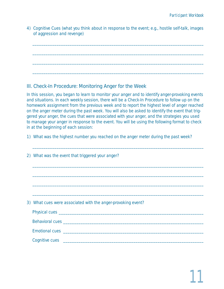4) *Cognitive Cues* (what you think about in response to the event; e.g., hostile self-talk, images of aggression and revenge)

\_\_\_\_\_\_\_\_\_\_\_\_\_\_\_\_\_\_\_\_\_\_\_\_\_\_\_\_\_\_\_\_\_\_\_\_\_\_\_\_\_\_\_\_\_\_\_\_\_\_\_\_\_\_\_\_\_\_\_\_\_\_\_\_\_\_\_\_\_\_\_\_\_\_\_\_\_\_

\_\_\_\_\_\_\_\_\_\_\_\_\_\_\_\_\_\_\_\_\_\_\_\_\_\_\_\_\_\_\_\_\_\_\_\_\_\_\_\_\_\_\_\_\_\_\_\_\_\_\_\_\_\_\_\_\_\_\_\_\_\_\_\_\_\_\_\_\_\_\_\_\_\_\_\_\_\_

\_\_\_\_\_\_\_\_\_\_\_\_\_\_\_\_\_\_\_\_\_\_\_\_\_\_\_\_\_\_\_\_\_\_\_\_\_\_\_\_\_\_\_\_\_\_\_\_\_\_\_\_\_\_\_\_\_\_\_\_\_\_\_\_\_\_\_\_\_\_\_\_\_\_\_\_\_\_

\_\_\_\_\_\_\_\_\_\_\_\_\_\_\_\_\_\_\_\_\_\_\_\_\_\_\_\_\_\_\_\_\_\_\_\_\_\_\_\_\_\_\_\_\_\_\_\_\_\_\_\_\_\_\_\_\_\_\_\_\_\_\_\_\_\_\_\_\_\_\_\_\_\_\_\_\_\_

# III. Check-In Procedure: Monitoring Anger for the Week

In this session, you began to learn to monitor your anger and to identify anger-provoking events and situations. In each weekly session, there will be a Check-In Procedure to follow up on the homework assignment from the previous week and to report the highest level of anger reached on the anger meter during the past week. You will also be asked to identify the event that triggered your anger, the cues that were associated with your anger, and the strategies you used to manage your anger in response to the event. You will be using the following format to check in at the beginning of each session:

1) What was the highest number you reached on the anger meter during the past week?

| 2) What was the event that triggered your anger?             |
|--------------------------------------------------------------|
|                                                              |
|                                                              |
|                                                              |
| 3) What cues were associated with the anger-provoking event? |
|                                                              |
|                                                              |
|                                                              |
|                                                              |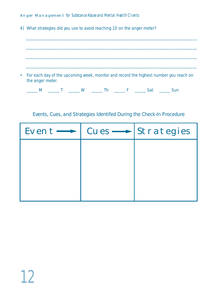4) What strategies did you use to avoid reaching 10 on the anger meter?

\_\_\_\_\_\_\_\_\_\_\_\_\_\_\_\_\_\_\_\_\_\_\_\_\_\_\_\_\_\_\_\_\_\_\_\_\_\_\_\_\_\_\_\_\_\_\_\_\_\_\_\_\_\_\_\_\_\_\_\_\_\_\_\_\_\_\_\_\_\_\_\_\_\_\_\_\_\_ \_\_\_\_\_\_\_\_\_\_\_\_\_\_\_\_\_\_\_\_\_\_\_\_\_\_\_\_\_\_\_\_\_\_\_\_\_\_\_\_\_\_\_\_\_\_\_\_\_\_\_\_\_\_\_\_\_\_\_\_\_\_\_\_\_\_\_\_\_\_\_\_\_\_\_\_\_\_ \_\_\_\_\_\_\_\_\_\_\_\_\_\_\_\_\_\_\_\_\_\_\_\_\_\_\_\_\_\_\_\_\_\_\_\_\_\_\_\_\_\_\_\_\_\_\_\_\_\_\_\_\_\_\_\_\_\_\_\_\_\_\_\_\_\_\_\_\_\_\_\_\_\_\_\_\_\_ • For each day of the upcoming week, monitor and record the highest number you reach on the anger meter. \_\_\_\_\_ M \_\_\_\_\_ T \_\_\_\_\_ W \_\_\_\_\_ Th \_\_\_\_\_ F \_\_\_\_\_ Sat \_\_\_\_\_ Sun Events, Cues, and Strategies Identifed During the Check-In Procedure  $Event \longrightarrow | \text{Cues} \longrightarrow | \text{Strategies}$ 

\_\_\_\_\_\_\_\_\_\_\_\_\_\_\_\_\_\_\_\_\_\_\_\_\_\_\_\_\_\_\_\_\_\_\_\_\_\_\_\_\_\_\_\_\_\_\_\_\_\_\_\_\_\_\_\_\_\_\_\_\_\_\_\_\_\_\_\_\_\_\_\_\_\_\_\_\_\_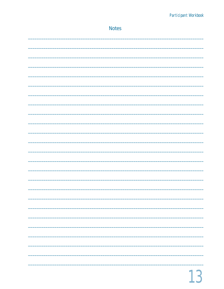| <b>Notes</b> |
|--------------|
|              |
|              |
|              |
|              |
|              |
|              |
|              |
|              |
|              |
|              |
|              |
|              |
|              |
|              |
|              |
|              |
|              |
|              |
|              |
|              |
|              |
|              |
|              |
|              |
|              |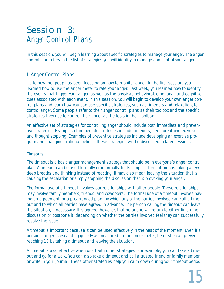# Session 3: Anger Control Plans

In this session, you will begin learning about specific strategies to manage your anger. The anger control plan refers to the list of strategies you will identify to manage and control your anger.

# I. Anger Control Plans

Up to now the group has been focusing on how to monitor anger. In the first session, you learned how to use the anger meter to rate your anger. Last week, you learned how to identify the events that trigger your anger, as well as the physical, behavioral, emotional, and cognitive cues associated with each event. In this session, you will begin to develop your own anger control plans and learn how you can use specific strategies, such as timeouts and relaxation, to control anger. Some people refer to their anger control plans as their toolbox and the specific strategies they use to control their anger as the tools in their toolbox.

An effective set of strategies for controlling anger should include both immediate and preventive strategies. Examples of immediate strategies include timeouts, deep-breathing exercises, and thought stopping. Examples of preventive strategies include developing an exercise program and changing irrational beliefs. These strategies will be discussed in later sessions.

#### *Timeouts*

The timeout is a basic anger management strategy that should be in everyone's anger control plan. A timeout can be used formally or informally. In its simplest form, it means taking a few deep breaths and thinking instead of reacting. It may also mean leaving the situation that is causing the escalation or simply stopping the discussion that is provoking your anger.

The formal use of a timeout involves our relationships with other people. These relationships may involve family members, friends, and coworkers. The formal use of a timeout involves having an agreement, or a prearranged plan, by which any of the parties involved can call a timeout and to which all parties have agreed in advance. The person calling the timeout can leave the situation, if necessary. It is agreed, however, that he or she will return to either finish the discussion or postpone it, depending on whether the parties involved feel they can successfully resolve the issue.

A timeout is important because it can be used effectively in the heat of the moment. Even if a person's anger is escalating quickly as measured on the anger meter, he or she can prevent reaching 10 by taking a timeout and leaving the situation.

A timeout is also effective when used with other strategies. For example, you can take a timeout and go for a walk. You can also take a timeout and call a trusted friend or family member or write in your journal. These other strategies help you calm down during your timeout period.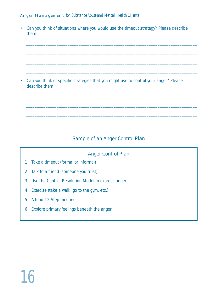• Can you think of situations where you would use the timeout strategy? Please describe them.

\_\_\_\_\_\_\_\_\_\_\_\_\_\_\_\_\_\_\_\_\_\_\_\_\_\_\_\_\_\_\_\_\_\_\_\_\_\_\_\_\_\_\_\_\_\_\_\_\_\_\_\_\_\_\_\_\_\_\_\_\_\_\_\_\_\_\_\_\_\_\_\_\_\_\_\_\_\_

\_\_\_\_\_\_\_\_\_\_\_\_\_\_\_\_\_\_\_\_\_\_\_\_\_\_\_\_\_\_\_\_\_\_\_\_\_\_\_\_\_\_\_\_\_\_\_\_\_\_\_\_\_\_\_\_\_\_\_\_\_\_\_\_\_\_\_\_\_\_\_\_\_\_\_\_\_\_

\_\_\_\_\_\_\_\_\_\_\_\_\_\_\_\_\_\_\_\_\_\_\_\_\_\_\_\_\_\_\_\_\_\_\_\_\_\_\_\_\_\_\_\_\_\_\_\_\_\_\_\_\_\_\_\_\_\_\_\_\_\_\_\_\_\_\_\_\_\_\_\_\_\_\_\_\_\_

\_\_\_\_\_\_\_\_\_\_\_\_\_\_\_\_\_\_\_\_\_\_\_\_\_\_\_\_\_\_\_\_\_\_\_\_\_\_\_\_\_\_\_\_\_\_\_\_\_\_\_\_\_\_\_\_\_\_\_\_\_\_\_\_\_\_\_\_\_\_\_\_\_\_\_\_\_\_

\_\_\_\_\_\_\_\_\_\_\_\_\_\_\_\_\_\_\_\_\_\_\_\_\_\_\_\_\_\_\_\_\_\_\_\_\_\_\_\_\_\_\_\_\_\_\_\_\_\_\_\_\_\_\_\_\_\_\_\_\_\_\_\_\_\_\_\_\_\_\_\_\_\_\_\_\_\_

\_\_\_\_\_\_\_\_\_\_\_\_\_\_\_\_\_\_\_\_\_\_\_\_\_\_\_\_\_\_\_\_\_\_\_\_\_\_\_\_\_\_\_\_\_\_\_\_\_\_\_\_\_\_\_\_\_\_\_\_\_\_\_\_\_\_\_\_\_\_\_\_\_\_\_\_\_\_

\_\_\_\_\_\_\_\_\_\_\_\_\_\_\_\_\_\_\_\_\_\_\_\_\_\_\_\_\_\_\_\_\_\_\_\_\_\_\_\_\_\_\_\_\_\_\_\_\_\_\_\_\_\_\_\_\_\_\_\_\_\_\_\_\_\_\_\_\_\_\_\_\_\_\_\_\_\_

\_\_\_\_\_\_\_\_\_\_\_\_\_\_\_\_\_\_\_\_\_\_\_\_\_\_\_\_\_\_\_\_\_\_\_\_\_\_\_\_\_\_\_\_\_\_\_\_\_\_\_\_\_\_\_\_\_\_\_\_\_\_\_\_\_\_\_\_\_\_\_\_\_\_\_\_\_\_

• Can you think of specific strategies that you might use to control your anger? Please describe them.

# Sample of an Anger Control Plan

### Anger Control Plan

- 1. Take a timeout (formal or informal)
- 2. Talk to a friend (someone you trust)
- 3. Use the Conflict Resolution Model to express anger
- 4. Exercise (take a walk, go to the gym, etc.)
- 5. Attend 12-Step meetings
- 6. Explore primary feelings beneath the anger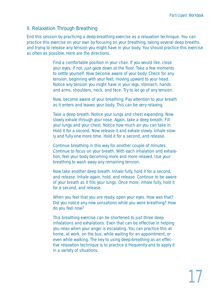### II. Relaxation Through Breathing

End this session by practicing a deep-breathing exercise as a relaxation technique. You can practice this exercise on your own by focusing on your breathing, taking several deep breaths, and trying to release any tension you might have in your body. You should practice this exercise as often as possible. Here are the directions.

> Find a comfortable position in your chair. If you would like, close your eyes; if not, just gaze down at the floor. Take a few moments to settle yourself. Now become aware of your body. Check for any tension, beginning with your feet, moving upward to your head. Notice any tension you might have in your legs, stomach, hands and arms, shoulders, neck, and face. Try to let go of any tension.

Now, become aware of your breathing. Pay attention to your breath as it enters and leaves your body. This can be very relaxing.

Take a deep breath. Notice your lungs and chest expanding. Now slowly exhale through your nose. Again, take a deep breath. Fill your lungs and your chest. Notice how much air you can take in. Hold it for a second. Now release it and exhale slowly. Inhale slowly and fully one more time. Hold it for a second, and release.

Continue breathing in this way for another couple of minutes. Continue to focus on your breath. With each inhalation and exhalation, feel your body becoming more and more relaxed. Use your breathing to wash away any remaining tension.

Now take another deep breath. Inhale fully, hold it for a second, and release. Inhale again, hold, and release. Continue to be aware of your breath as it fills your lungs. Once more, inhale fully, hold it for a second, and release.

When you feel that you are ready, open your eyes. How was that? Did you notice any new sensations while you were breathing? How do you feel now?

This breathing exercise can be shortened to just three deep inhalations and exhalations. Even that can be effective in helping you relax when your anger is escalating. You can practice this at home, at work, on the bus, while waiting for an appointment, or even while walking. The key to using deep-breathing as an effective relaxation technique is to practice it frequently and to apply it in a variety of situations.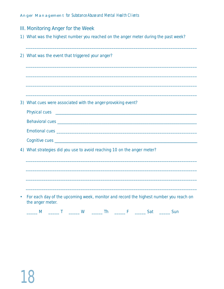- III. Monitoring Anger for the Week
- 1) What was the highest number you reached on the anger meter during the past week?

|           | 2) What was the event that triggered your anger?                                                          |
|-----------|-----------------------------------------------------------------------------------------------------------|
|           |                                                                                                           |
|           |                                                                                                           |
|           |                                                                                                           |
|           | 3) What cues were associated with the anger-provoking event?                                              |
|           |                                                                                                           |
|           |                                                                                                           |
|           |                                                                                                           |
|           |                                                                                                           |
| 4)        | What strategies did you use to avoid reaching 10 on the anger meter?                                      |
|           |                                                                                                           |
|           |                                                                                                           |
|           |                                                                                                           |
| $\bullet$ | For each day of the upcoming week, monitor and record the highest number you reach on<br>the anger meter. |
|           | _____ M _____ T ______ W ______ Th ______ F ______ Sat ______ Sun                                         |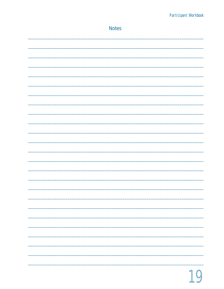| <b>Notes</b>             |
|--------------------------|
|                          |
|                          |
|                          |
|                          |
|                          |
|                          |
|                          |
|                          |
|                          |
|                          |
|                          |
|                          |
|                          |
|                          |
|                          |
|                          |
|                          |
| -                        |
|                          |
| $\overline{\phantom{0}}$ |
|                          |
|                          |
|                          |
|                          |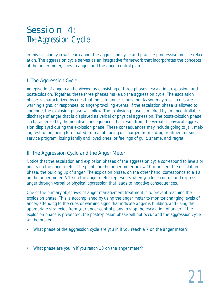# Session 4: The Aggression Cycle

In this session, you will learn about the aggression cycle and practice progressive muscle relaxation. The aggression cycle serves as an integrative framework that incorporates the concepts of the anger meter, cues to anger, and the anger control plan.

# I. The Aggression Cycle

An episode of anger can be viewed as consisting of three phases: *escalation*, *explosion*, and *postexplosion*. Together, these three phases make up the aggression cycle. The escalation phase is characterized by cues that indicate anger is building. As you may recall, cues are warning signs, or responses, to anger-provoking events. If the escalation phase is allowed to continue, the explosion phase will follow. The explosion phase is marked by an uncontrollable discharge of anger that is displayed as verbal or physical aggression. The postexplosion phase is characterized by the negative consequences that result from the verbal or physical aggression displayed during the explosion phase. These consequences may include going to jail, making restitution, being terminated from a job, being discharged from a drug treatment or social service program, losing family and loved ones, or feelings of guilt, shame, and regret.

# II. The Aggression Cycle and the Anger Meter

Notice that the escalation and explosion phases of the aggression cycle correspond to levels or points on the anger meter. The points on the anger meter below 10 represent the escalation phase, the building up of anger. The explosion phase, on the other hand, corresponds to a 10 on the anger meter. A 10 on the anger meter represents when you lose control and express anger through verbal or physical aggression that leads to negative consequences.

One of the primary objectives of anger management treatment is to prevent reaching the explosion phase. This is accomplished by using the anger meter to monitor changing levels of anger, attending to the cues or warning signs that indicate anger is building, and using the appropriate strategies from your anger control plans to stop the escalation of anger. If the explosion phase is prevented, the postexplosion phase will not occur and the aggression cycle will be broken.

\_\_\_\_\_\_\_\_\_\_\_\_\_\_\_\_\_\_\_\_\_\_\_\_\_\_\_\_\_\_\_\_\_\_\_\_\_\_\_\_\_\_\_\_\_\_\_\_\_\_\_\_\_\_\_\_\_\_\_\_\_\_\_\_\_\_\_\_\_\_\_\_\_\_\_\_\_\_

\_\_\_\_\_\_\_\_\_\_\_\_\_\_\_\_\_\_\_\_\_\_\_\_\_\_\_\_\_\_\_\_\_\_\_\_\_\_\_\_\_\_\_\_\_\_\_\_\_\_\_\_\_\_\_\_\_\_\_\_\_\_\_\_\_\_\_\_\_\_\_\_\_\_\_\_\_\_

- What phase of the aggression cycle are you in if you reach a 7 on the anger meter?
- What phase are you in if you reach 10 on the anger meter?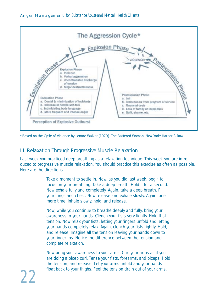

\*Based on the Cycle of Violence by Lenore Walker (1979). *The Battered Woman*. New York: Harper & Row.

### III. Relaxation Through Progressive Muscle Relaxation

Last week you practiced deep-breathing as a relaxation technique. This week you are introduced to progressive muscle relaxation. You should practice this exercise as often as possible. Here are the directions.

> Take a moment to settle in. Now, as you did last week, begin to focus on your breathing. Take a deep breath. Hold it for a second. Now exhale fully and completely. Again, take a deep breath. Fill your lungs and chest. Now release and exhale slowly. Again, one more time, inhale slowly, hold, and release.

Now, while you continue to breathe deeply and fully, bring your awareness to your hands. Clench your fists very tightly. Hold that tension. Now relax your fists, letting your fingers unfold and letting your hands completely relax. Again, clench your fists tightly. Hold, and release. Imagine all the tension leaving your hands down to your fingertips. Notice the difference between the tension and complete relaxation.

Now bring your awareness to your arms. Curl your arms as if you are doing a bicep curl. Tense your fists, forearms, and biceps. Hold the tension, and release. Let your arms unfold and your hands float back to your thighs. Feel the tension drain out of your arms.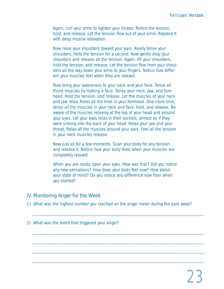Again, curl your arms to tighten your biceps. Notice the tension, hold, and release. Let the tension flow out of your arms. Replace it with deep muscle relaxation.

Now raise your shoulders toward your ears. Really tense your shoulders. Hold the tension for a second. Now gently drop your shoulders and release all the tension. Again, lift your shoulders, hold the tension, and release. Let the tension flow from your shoulders all the way down your arms to your fingers. Notice how different your muscles feel when they are relaxed.

Now bring your awareness to your neck and your face. Tense all those muscles by making a face. Tense your neck, jaw, and forehead. Hold the tension, and release. Let the muscles of your neck and jaw relax. Relax all the lines in your forehead. One more time, tense all the muscles in your neck and face, hold, and release. Be aware of the muscles relaxing at the top of your head and around your eyes. Let your eyes relax in their sockets, almost as if they were sinking into the back of your head. Relax your jaw and your throat. Relax all the muscles around your ears. Feel all the tension in your neck muscles release.

Now just sit for a few moments. Scan your body for any tension and release it. Notice how your body feels when your muscles are completely relaxed.

When you are ready, open your eyes. How was that? Did you notice any new sensations? How does your body feel now? How about your state of mind? Do you notice any difference now from when you started?

#### IV. Monitoring Anger for the Week

1) What was the highest number you reached on the anger meter during the past week?

\_\_\_\_\_\_\_\_\_\_\_\_\_\_\_\_\_\_\_\_\_\_\_\_\_\_\_\_\_\_\_\_\_\_\_\_\_\_\_\_\_\_\_\_\_\_\_\_\_\_\_\_\_\_\_\_\_\_\_\_\_\_\_\_\_\_\_\_\_\_\_\_\_\_\_\_\_\_

\_\_\_\_\_\_\_\_\_\_\_\_\_\_\_\_\_\_\_\_\_\_\_\_\_\_\_\_\_\_\_\_\_\_\_\_\_\_\_\_\_\_\_\_\_\_\_\_\_\_\_\_\_\_\_\_\_\_\_\_\_\_\_\_\_\_\_\_\_\_\_\_\_\_\_\_\_\_

\_\_\_\_\_\_\_\_\_\_\_\_\_\_\_\_\_\_\_\_\_\_\_\_\_\_\_\_\_\_\_\_\_\_\_\_\_\_\_\_\_\_\_\_\_\_\_\_\_\_\_\_\_\_\_\_\_\_\_\_\_\_\_\_\_\_\_\_\_\_\_\_\_\_\_\_\_\_

\_\_\_\_\_\_\_\_\_\_\_\_\_\_\_\_\_\_\_\_\_\_\_\_\_\_\_\_\_\_\_\_\_\_\_\_\_\_\_\_\_\_\_\_\_\_\_\_\_\_\_\_\_\_\_\_\_\_\_\_\_\_\_\_\_\_\_\_\_\_\_\_\_\_\_\_\_\_

\_\_\_\_\_\_\_\_\_\_\_\_\_\_\_\_\_\_\_\_\_\_\_\_\_\_\_\_\_\_\_\_\_\_\_\_\_\_\_\_\_\_\_\_\_\_\_\_\_\_\_\_\_\_\_\_\_\_\_\_\_\_\_\_\_\_\_\_\_\_\_\_\_\_\_\_\_\_

2) What was the event that triggered your anger?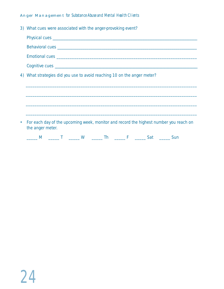| 3) What cues were associated with the anger-provoking event?                                                |
|-------------------------------------------------------------------------------------------------------------|
|                                                                                                             |
|                                                                                                             |
|                                                                                                             |
|                                                                                                             |
| 4) What strategies did you use to avoid reaching 10 on the anger meter?                                     |
|                                                                                                             |
|                                                                                                             |
|                                                                                                             |
|                                                                                                             |
| • For each day of the upcoming week, monitor and record the highest number you reach on<br>the anger meter. |
| _____ M ______ T ______ W ______ Th ______ F ______ Sat ______ Sun                                          |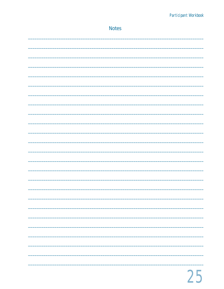| <b>Notes</b> |
|--------------|
|              |
|              |
|              |
|              |
|              |
|              |
|              |
|              |
|              |
|              |
|              |
|              |
|              |
|              |
|              |
|              |
|              |
|              |
|              |
|              |
|              |
|              |
|              |
|              |
|              |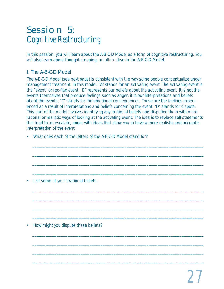# Session 5: Cognitive Restructuring

In this session, you will learn about the A-B-C-D Model as a form of cognitive restructuring. You will also learn about thought stopping, an alternative to the A-B-C-D Model.

# I. The A-B-C-D Model

The A-B-C-D Model (see next page) is consistent with the way some people conceptualize anger management treatment. In this model, *"A" stands for an activating event*. The activating event is the "event" or red-flag event. *"B" represents our beliefs* about the activating event. It is not the events themselves that produce feelings such as anger; it is our interpretations and beliefs about the events. *"C" stands for the emotional consequences*. These are the feelings experienced as a result of interpretations and beliefs concerning the event. *"D" stands for dispute*. This part of the model involves identifying any irrational beliefs and disputing them with more rational or realistic ways of looking at the activating event. The idea is to replace self-statements that lead to, or escalate, anger with ideas that allow you to have a more realistic and accurate interpretation of the event.

\_\_\_\_\_\_\_\_\_\_\_\_\_\_\_\_\_\_\_\_\_\_\_\_\_\_\_\_\_\_\_\_\_\_\_\_\_\_\_\_\_\_\_\_\_\_\_\_\_\_\_\_\_\_\_\_\_\_\_\_\_\_\_\_\_\_\_\_\_\_\_\_\_\_\_\_\_\_

\_\_\_\_\_\_\_\_\_\_\_\_\_\_\_\_\_\_\_\_\_\_\_\_\_\_\_\_\_\_\_\_\_\_\_\_\_\_\_\_\_\_\_\_\_\_\_\_\_\_\_\_\_\_\_\_\_\_\_\_\_\_\_\_\_\_\_\_\_\_\_\_\_\_\_\_\_\_

\_\_\_\_\_\_\_\_\_\_\_\_\_\_\_\_\_\_\_\_\_\_\_\_\_\_\_\_\_\_\_\_\_\_\_\_\_\_\_\_\_\_\_\_\_\_\_\_\_\_\_\_\_\_\_\_\_\_\_\_\_\_\_\_\_\_\_\_\_\_\_\_\_\_\_\_\_\_

\_\_\_\_\_\_\_\_\_\_\_\_\_\_\_\_\_\_\_\_\_\_\_\_\_\_\_\_\_\_\_\_\_\_\_\_\_\_\_\_\_\_\_\_\_\_\_\_\_\_\_\_\_\_\_\_\_\_\_\_\_\_\_\_\_\_\_\_\_\_\_\_\_\_\_\_\_\_

\_\_\_\_\_\_\_\_\_\_\_\_\_\_\_\_\_\_\_\_\_\_\_\_\_\_\_\_\_\_\_\_\_\_\_\_\_\_\_\_\_\_\_\_\_\_\_\_\_\_\_\_\_\_\_\_\_\_\_\_\_\_\_\_\_\_\_\_\_\_\_\_\_\_\_\_\_\_

\_\_\_\_\_\_\_\_\_\_\_\_\_\_\_\_\_\_\_\_\_\_\_\_\_\_\_\_\_\_\_\_\_\_\_\_\_\_\_\_\_\_\_\_\_\_\_\_\_\_\_\_\_\_\_\_\_\_\_\_\_\_\_\_\_\_\_\_\_\_\_\_\_\_\_\_\_\_

\_\_\_\_\_\_\_\_\_\_\_\_\_\_\_\_\_\_\_\_\_\_\_\_\_\_\_\_\_\_\_\_\_\_\_\_\_\_\_\_\_\_\_\_\_\_\_\_\_\_\_\_\_\_\_\_\_\_\_\_\_\_\_\_\_\_\_\_\_\_\_\_\_\_\_\_\_\_

\_\_\_\_\_\_\_\_\_\_\_\_\_\_\_\_\_\_\_\_\_\_\_\_\_\_\_\_\_\_\_\_\_\_\_\_\_\_\_\_\_\_\_\_\_\_\_\_\_\_\_\_\_\_\_\_\_\_\_\_\_\_\_\_\_\_\_\_\_\_\_\_\_\_\_\_\_\_

\_\_\_\_\_\_\_\_\_\_\_\_\_\_\_\_\_\_\_\_\_\_\_\_\_\_\_\_\_\_\_\_\_\_\_\_\_\_\_\_\_\_\_\_\_\_\_\_\_\_\_\_\_\_\_\_\_\_\_\_\_\_\_\_\_\_\_\_\_\_\_\_\_\_\_\_\_\_

\_\_\_\_\_\_\_\_\_\_\_\_\_\_\_\_\_\_\_\_\_\_\_\_\_\_\_\_\_\_\_\_\_\_\_\_\_\_\_\_\_\_\_\_\_\_\_\_\_\_\_\_\_\_\_\_\_\_\_\_\_\_\_\_\_\_\_\_\_\_\_\_\_\_\_\_\_\_

\_\_\_\_\_\_\_\_\_\_\_\_\_\_\_\_\_\_\_\_\_\_\_\_\_\_\_\_\_\_\_\_\_\_\_\_\_\_\_\_\_\_\_\_\_\_\_\_\_\_\_\_\_\_\_\_\_\_\_\_\_\_\_\_\_\_\_\_\_\_\_\_\_\_\_\_\_\_

\_\_\_\_\_\_\_\_\_\_\_\_\_\_\_\_\_\_\_\_\_\_\_\_\_\_\_\_\_\_\_\_\_\_\_\_\_\_\_\_\_\_\_\_\_\_\_\_\_\_\_\_\_\_\_\_\_\_\_\_\_\_\_\_\_\_\_\_\_\_\_\_\_\_\_\_\_\_

• What does each of the letters of the A-B-C-D Model stand for?

• List some of your irrational beliefs.

• How might you dispute these beliefs?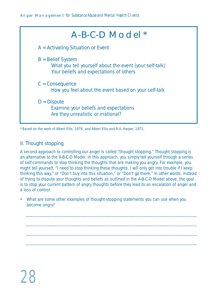| $A-B-C-D$ Model $*$                                                                                                       |  |
|---------------------------------------------------------------------------------------------------------------------------|--|
| $A =$ Activating Situation or Event                                                                                       |  |
| $B =$ Belief System<br>What you tell yourself about the event (your self-talk)<br>Your beliefs and expectations of others |  |
| $C = Consequence$<br>How you feel about the event based on your self-talk                                                 |  |
| $D = Dispute$<br>Examine your beliefs and expectations<br>Are they unrealistic or irrational?                             |  |

\*Based on the work of Albert Ellis, 1979, and Albert Ellis and R.A. Harper, 1975.

### II. Thought stopping

A second approach to controlling our anger is called "thought stopping." Thought stopping is an alternative to the A-B-C-D Model. In this approach, you simply tell yourself through a series of self-commands to *stop* thinking the thoughts that are making you angry. For example, you might tell yourself, "I need to stop thinking these thoughts. I will only get into trouble if I keep thinking this way," or "Don't buy into this situation," or "Don't go there." In other words, instead of trying to dispute your thoughts and beliefs as outlined in the A-B-C-D Model above, the goal is to stop your current pattern of angry thoughts before they lead to an escalation of anger and a loss of control.

• What are some other examples of thought-stopping statements you can use when you become angry?

\_\_\_\_\_\_\_\_\_\_\_\_\_\_\_\_\_\_\_\_\_\_\_\_\_\_\_\_\_\_\_\_\_\_\_\_\_\_\_\_\_\_\_\_\_\_\_\_\_\_\_\_\_\_\_\_\_\_\_\_\_\_\_\_\_\_\_\_\_\_\_\_\_\_\_\_\_\_

\_\_\_\_\_\_\_\_\_\_\_\_\_\_\_\_\_\_\_\_\_\_\_\_\_\_\_\_\_\_\_\_\_\_\_\_\_\_\_\_\_\_\_\_\_\_\_\_\_\_\_\_\_\_\_\_\_\_\_\_\_\_\_\_\_\_\_\_\_\_\_\_\_\_\_\_\_\_

\_\_\_\_\_\_\_\_\_\_\_\_\_\_\_\_\_\_\_\_\_\_\_\_\_\_\_\_\_\_\_\_\_\_\_\_\_\_\_\_\_\_\_\_\_\_\_\_\_\_\_\_\_\_\_\_\_\_\_\_\_\_\_\_\_\_\_\_\_\_\_\_\_\_\_\_\_\_

\_\_\_\_\_\_\_\_\_\_\_\_\_\_\_\_\_\_\_\_\_\_\_\_\_\_\_\_\_\_\_\_\_\_\_\_\_\_\_\_\_\_\_\_\_\_\_\_\_\_\_\_\_\_\_\_\_\_\_\_\_\_\_\_\_\_\_\_\_\_\_\_\_\_\_\_\_\_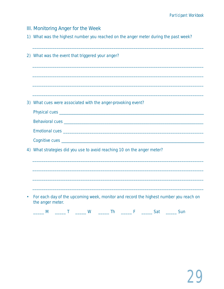III. Monitoring Anger for the Week

1) What was the highest number you reached on the anger meter during the past week?

|    | 2) What was the event that triggered your anger?                                                              |
|----|---------------------------------------------------------------------------------------------------------------|
|    |                                                                                                               |
|    |                                                                                                               |
|    |                                                                                                               |
|    | 3) What cues were associated with the anger-provoking event?                                                  |
|    |                                                                                                               |
|    |                                                                                                               |
|    |                                                                                                               |
|    |                                                                                                               |
| 4) | What strategies did you use to avoid reaching 10 on the anger meter?                                          |
|    |                                                                                                               |
|    |                                                                                                               |
|    |                                                                                                               |
|    |                                                                                                               |
|    | For each day of the upcoming week, monitor and record the highest number you reach on<br>the anger meter.     |
|    | <b>W</b><br>The F<br><b>Satisfaction Satisfaction Satisfaction</b><br>Sun<br>M<br>$\mathcal{L} = \mathcal{L}$ |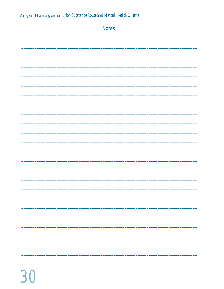| <b>Notes</b> |
|--------------|
|              |
|              |
|              |
|              |
|              |
|              |
|              |
|              |
|              |
|              |
|              |
|              |
|              |
|              |
| -            |
| -----        |
|              |
|              |
|              |
| -            |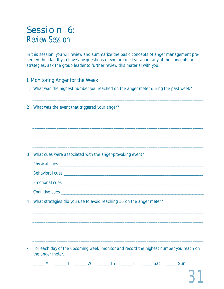# Session 6: Review Session

In this session, you will review and summarize the basic concepts of anger management presented thus far. If you have any questions or you are unclear about any of the concepts or strategies, ask the group leader to further review this material with you.

### I. Monitoring Anger for the Week

1) What was the highest number you reached on the anger meter during the past week?

| 2) What was the event that triggered your anger?                                                          |
|-----------------------------------------------------------------------------------------------------------|
|                                                                                                           |
|                                                                                                           |
|                                                                                                           |
| 3) What cues were associated with the anger-provoking event?                                              |
|                                                                                                           |
|                                                                                                           |
|                                                                                                           |
|                                                                                                           |
| 4) What strategies did you use to avoid reaching 10 on the anger meter?                                   |
|                                                                                                           |
|                                                                                                           |
|                                                                                                           |
|                                                                                                           |
| For each day of the upcoming week, monitor and record the highest number you reach on<br>the anger meter. |
| _____ M ______ T ______ W ______ Th ______ F ______ Sat ______ Sun                                        |
|                                                                                                           |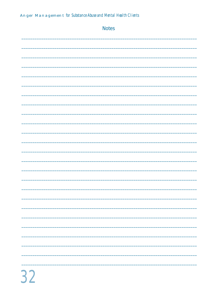| <b>Notes</b> |
|--------------|
|              |
|              |
|              |
|              |
|              |
|              |
|              |
|              |
|              |
|              |
|              |
|              |
|              |
|              |
| -            |
| ____         |
|              |
|              |
|              |
|              |
|              |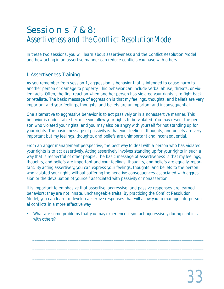# Sessions 7 & 8: Assertiveness and the Conflict ResolutionModel

In these two sessions, you will learn about assertiveness and the Conflict Resolution Model and how acting in an assertive manner can reduce conflicts you have with others.

# I. Assertiveness Training

As you remember from session 1, aggression is behavior that is intended to cause harm to another person or damage to property. This behavior can include verbal abuse, threats, or violent acts. Often, the first reaction when another person has violated your rights is to fight back or retaliate. The basic message of aggression is that *my* feelings, thoughts, and beliefs are very important and *your* feelings, thoughts, and beliefs are unimportant and inconsequential.

One alternative to aggressive behavior is to act passively or in a nonassertive manner. This behavior is undesirable because you allow your rights to be violated. You may resent the person who violated your rights, and you may also be angry with yourself for not standing up for your rights. The basic message of passivity is that *your* feelings, thoughts, and beliefs are very important but *my* feelings, thoughts, and beliefs are unimportant and inconsequential.

From an anger management perspective, the best way to deal with a person who has violated your rights is to act assertively. Acting assertively involves standing up for your rights in such a way that is respectful of other people. The basic message of assertiveness is that *my* feelings, thoughts, and beliefs are important and *your* feelings, thoughts, and beliefs are equally important. By acting assertively, you can express your feelings, thoughts, and beliefs to the person who violated your rights without suffering the negative consequences associated with aggression or the devaluation of yourself associated with passivity or nonassertion.

It is important to emphasize that assertive, aggressive, and passive responses are learned behaviors; they are not innate, unchangeable traits. By practicing the Conflict Resolution Model, you can learn to develop assertive responses that will allow you to manage interpersonal conflicts in a more effective way.

• What are some problems that you may experience if you act aggressively during conflicts with others?

\_\_\_\_\_\_\_\_\_\_\_\_\_\_\_\_\_\_\_\_\_\_\_\_\_\_\_\_\_\_\_\_\_\_\_\_\_\_\_\_\_\_\_\_\_\_\_\_\_\_\_\_\_\_\_\_\_\_\_\_\_\_\_\_\_\_\_\_\_\_\_\_\_\_\_\_\_\_

\_\_\_\_\_\_\_\_\_\_\_\_\_\_\_\_\_\_\_\_\_\_\_\_\_\_\_\_\_\_\_\_\_\_\_\_\_\_\_\_\_\_\_\_\_\_\_\_\_\_\_\_\_\_\_\_\_\_\_\_\_\_\_\_\_\_\_\_\_\_\_\_\_\_\_\_\_\_

\_\_\_\_\_\_\_\_\_\_\_\_\_\_\_\_\_\_\_\_\_\_\_\_\_\_\_\_\_\_\_\_\_\_\_\_\_\_\_\_\_\_\_\_\_\_\_\_\_\_\_\_\_\_\_\_\_\_\_\_\_\_\_\_\_\_\_\_\_\_\_\_\_\_\_\_\_\_

\_\_\_\_\_\_\_\_\_\_\_\_\_\_\_\_\_\_\_\_\_\_\_\_\_\_\_\_\_\_\_\_\_\_\_\_\_\_\_\_\_\_\_\_\_\_\_\_\_\_\_\_\_\_\_\_\_\_\_\_\_\_\_\_\_\_\_\_\_\_\_\_\_\_\_\_\_\_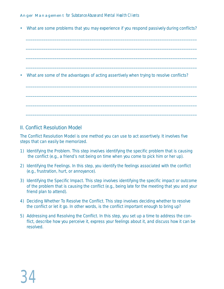• What are some problems that you may experience if you respond passively during conflicts?

\_\_\_\_\_\_\_\_\_\_\_\_\_\_\_\_\_\_\_\_\_\_\_\_\_\_\_\_\_\_\_\_\_\_\_\_\_\_\_\_\_\_\_\_\_\_\_\_\_\_\_\_\_\_\_\_\_\_\_\_\_\_\_\_\_\_\_\_\_\_\_\_\_\_\_\_\_\_

\_\_\_\_\_\_\_\_\_\_\_\_\_\_\_\_\_\_\_\_\_\_\_\_\_\_\_\_\_\_\_\_\_\_\_\_\_\_\_\_\_\_\_\_\_\_\_\_\_\_\_\_\_\_\_\_\_\_\_\_\_\_\_\_\_\_\_\_\_\_\_\_\_\_\_\_\_\_

\_\_\_\_\_\_\_\_\_\_\_\_\_\_\_\_\_\_\_\_\_\_\_\_\_\_\_\_\_\_\_\_\_\_\_\_\_\_\_\_\_\_\_\_\_\_\_\_\_\_\_\_\_\_\_\_\_\_\_\_\_\_\_\_\_\_\_\_\_\_\_\_\_\_\_\_\_\_

\_\_\_\_\_\_\_\_\_\_\_\_\_\_\_\_\_\_\_\_\_\_\_\_\_\_\_\_\_\_\_\_\_\_\_\_\_\_\_\_\_\_\_\_\_\_\_\_\_\_\_\_\_\_\_\_\_\_\_\_\_\_\_\_\_\_\_\_\_\_\_\_\_\_\_\_\_\_

\_\_\_\_\_\_\_\_\_\_\_\_\_\_\_\_\_\_\_\_\_\_\_\_\_\_\_\_\_\_\_\_\_\_\_\_\_\_\_\_\_\_\_\_\_\_\_\_\_\_\_\_\_\_\_\_\_\_\_\_\_\_\_\_\_\_\_\_\_\_\_\_\_\_\_\_\_\_

\_\_\_\_\_\_\_\_\_\_\_\_\_\_\_\_\_\_\_\_\_\_\_\_\_\_\_\_\_\_\_\_\_\_\_\_\_\_\_\_\_\_\_\_\_\_\_\_\_\_\_\_\_\_\_\_\_\_\_\_\_\_\_\_\_\_\_\_\_\_\_\_\_\_\_\_\_\_

\_\_\_\_\_\_\_\_\_\_\_\_\_\_\_\_\_\_\_\_\_\_\_\_\_\_\_\_\_\_\_\_\_\_\_\_\_\_\_\_\_\_\_\_\_\_\_\_\_\_\_\_\_\_\_\_\_\_\_\_\_\_\_\_\_\_\_\_\_\_\_\_\_\_\_\_\_\_

\_\_\_\_\_\_\_\_\_\_\_\_\_\_\_\_\_\_\_\_\_\_\_\_\_\_\_\_\_\_\_\_\_\_\_\_\_\_\_\_\_\_\_\_\_\_\_\_\_\_\_\_\_\_\_\_\_\_\_\_\_\_\_\_\_\_\_\_\_\_\_\_\_\_\_\_\_\_

• What are some of the advantages of acting assertively when trying to resolve conflicts?

#### II. Conflict Resolution Model

The Conflict Resolution Model is one method you can use to act assertively. It involves five steps that can easily be memorized.

- 1) *Identifying the Problem.* This step involves identifying the specific problem that is causing the conflict (e.g., a friend's not being on time when you come to pick him or her up).
- 2) *Identifying the Feelings.* In this step, you identify the feelings associated with the conflict (e.g., frustration, hurt, or annoyance).
- 3) *Identifying the Specific Impact.* This step involves identifying the specific impact or outcome of the problem that is causing the conflict (e.g., being late for the meeting that you and your friend plan to attend).
- 4) *Deciding Whether To Resolve the Conflict.* This step involves deciding whether to resolve the conflict or let it go. In other words, is the conflict important enough to bring up?
- 5) *Addressing and Resolving the Conflict.* In this step, you set up a time to address the conflict, describe how you perceive it, express your feelings about it, and discuss how it can be resolved.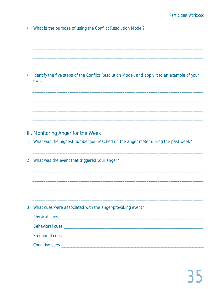• What is the purpose of using the Conflict Resolution Model?

• Identify the five steps of the Conflict Resolution Model, and apply it to an example of your own.

- III. Monitoring Anger for the Week
- 1) What was the highest number you reached on the anger meter during the past week?
- 2) What was the event that triggered your anger?

3) What cues were associated with the anger-provoking event?

| Behavioral cues and a series and a series of the series of the series of the series of the series of the series |
|-----------------------------------------------------------------------------------------------------------------|
| Emotional cues and a state of the state of the state of the state of the state of the state of the state of the |
|                                                                                                                 |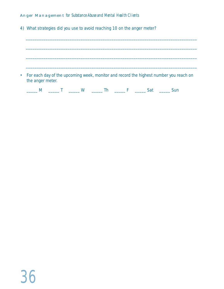4) What strategies did you use to avoid reaching 10 on the anger meter?

• For each day of the upcoming week, monitor and record the highest number you reach on the anger meter.

\_\_\_\_\_\_\_\_\_\_\_\_\_\_\_\_\_\_\_\_\_\_\_\_\_\_\_\_\_\_\_\_\_\_\_\_\_\_\_\_\_\_\_\_\_\_\_\_\_\_\_\_\_\_\_\_\_\_\_\_\_\_\_\_\_\_\_\_\_\_\_\_\_\_\_\_\_\_

\_\_\_\_\_\_\_\_\_\_\_\_\_\_\_\_\_\_\_\_\_\_\_\_\_\_\_\_\_\_\_\_\_\_\_\_\_\_\_\_\_\_\_\_\_\_\_\_\_\_\_\_\_\_\_\_\_\_\_\_\_\_\_\_\_\_\_\_\_\_\_\_\_\_\_\_\_\_

\_\_\_\_\_\_\_\_\_\_\_\_\_\_\_\_\_\_\_\_\_\_\_\_\_\_\_\_\_\_\_\_\_\_\_\_\_\_\_\_\_\_\_\_\_\_\_\_\_\_\_\_\_\_\_\_\_\_\_\_\_\_\_\_\_\_\_\_\_\_\_\_\_\_\_\_\_\_

|--|--|--|--|--|--|--|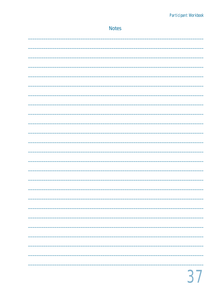| <b>Notes</b> |
|--------------|
|              |
|              |
|              |
|              |
|              |
|              |
|              |
|              |
|              |
|              |
|              |
|              |
|              |
|              |
|              |
|              |
|              |
|              |
|              |
|              |
|              |
|              |
|              |
|              |
|              |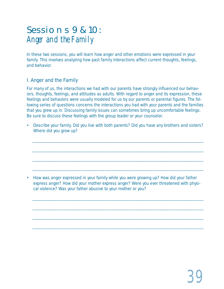# Sessions 9 & 10: Anger and the Family

In these two sessions, you will learn how anger and other emotions were expressed in your family. This involves analyzing how past family interactions affect current thoughts, feelings, and behavior.

# I. Anger and the Family

For many of us, the interactions we had with our parents have strongly influenced our behaviors, thoughts, feelings, and attitudes as adults. With regard to anger and its expression, these feelings and behaviors were usually modeled for us by our parents or parental figures. The following series of questions concerns the interactions you had with your parents and the families that you grew up in. Discussing family issues can sometimes bring up uncomfortable feelings. Be sure to discuss these feelings with the group leader or your counselor.

• Describe your family. Did you live with both parents? Did you have any brothers and sisters? Where did you grow up?

\_\_\_\_\_\_\_\_\_\_\_\_\_\_\_\_\_\_\_\_\_\_\_\_\_\_\_\_\_\_\_\_\_\_\_\_\_\_\_\_\_\_\_\_\_\_\_\_\_\_\_\_\_\_\_\_\_\_\_\_\_\_\_\_\_\_\_\_\_\_\_\_\_\_\_\_\_\_

\_\_\_\_\_\_\_\_\_\_\_\_\_\_\_\_\_\_\_\_\_\_\_\_\_\_\_\_\_\_\_\_\_\_\_\_\_\_\_\_\_\_\_\_\_\_\_\_\_\_\_\_\_\_\_\_\_\_\_\_\_\_\_\_\_\_\_\_\_\_\_\_\_\_\_\_\_\_

\_\_\_\_\_\_\_\_\_\_\_\_\_\_\_\_\_\_\_\_\_\_\_\_\_\_\_\_\_\_\_\_\_\_\_\_\_\_\_\_\_\_\_\_\_\_\_\_\_\_\_\_\_\_\_\_\_\_\_\_\_\_\_\_\_\_\_\_\_\_\_\_\_\_\_\_\_\_

\_\_\_\_\_\_\_\_\_\_\_\_\_\_\_\_\_\_\_\_\_\_\_\_\_\_\_\_\_\_\_\_\_\_\_\_\_\_\_\_\_\_\_\_\_\_\_\_\_\_\_\_\_\_\_\_\_\_\_\_\_\_\_\_\_\_\_\_\_\_\_\_\_\_\_\_\_\_

\_\_\_\_\_\_\_\_\_\_\_\_\_\_\_\_\_\_\_\_\_\_\_\_\_\_\_\_\_\_\_\_\_\_\_\_\_\_\_\_\_\_\_\_\_\_\_\_\_\_\_\_\_\_\_\_\_\_\_\_\_\_\_\_\_\_\_\_\_\_\_\_\_\_\_\_\_\_

\_\_\_\_\_\_\_\_\_\_\_\_\_\_\_\_\_\_\_\_\_\_\_\_\_\_\_\_\_\_\_\_\_\_\_\_\_\_\_\_\_\_\_\_\_\_\_\_\_\_\_\_\_\_\_\_\_\_\_\_\_\_\_\_\_\_\_\_\_\_\_\_\_\_\_\_\_\_

\_\_\_\_\_\_\_\_\_\_\_\_\_\_\_\_\_\_\_\_\_\_\_\_\_\_\_\_\_\_\_\_\_\_\_\_\_\_\_\_\_\_\_\_\_\_\_\_\_\_\_\_\_\_\_\_\_\_\_\_\_\_\_\_\_\_\_\_\_\_\_\_\_\_\_\_\_\_

\_\_\_\_\_\_\_\_\_\_\_\_\_\_\_\_\_\_\_\_\_\_\_\_\_\_\_\_\_\_\_\_\_\_\_\_\_\_\_\_\_\_\_\_\_\_\_\_\_\_\_\_\_\_\_\_\_\_\_\_\_\_\_\_\_\_\_\_\_\_\_\_\_\_\_\_\_\_

• How was anger expressed in your family while you were growing up? How did your father express anger? How did your mother express anger? Were you ever threatened with physical violence? Was your father abusive to your mother or you?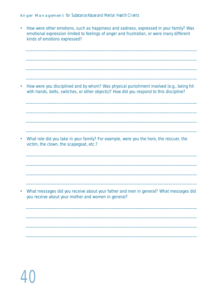• How were other emotions, such as happiness and sadness, expressed in your family? Was emotional expression limited to feelings of anger and frustration, or were many different kinds of emotions expressed?

\_\_\_\_\_\_\_\_\_\_\_\_\_\_\_\_\_\_\_\_\_\_\_\_\_\_\_\_\_\_\_\_\_\_\_\_\_\_\_\_\_\_\_\_\_\_\_\_\_\_\_\_\_\_\_\_\_\_\_\_\_\_\_\_\_\_\_\_\_\_\_\_\_\_\_\_\_\_

\_\_\_\_\_\_\_\_\_\_\_\_\_\_\_\_\_\_\_\_\_\_\_\_\_\_\_\_\_\_\_\_\_\_\_\_\_\_\_\_\_\_\_\_\_\_\_\_\_\_\_\_\_\_\_\_\_\_\_\_\_\_\_\_\_\_\_\_\_\_\_\_\_\_\_\_\_\_

\_\_\_\_\_\_\_\_\_\_\_\_\_\_\_\_\_\_\_\_\_\_\_\_\_\_\_\_\_\_\_\_\_\_\_\_\_\_\_\_\_\_\_\_\_\_\_\_\_\_\_\_\_\_\_\_\_\_\_\_\_\_\_\_\_\_\_\_\_\_\_\_\_\_\_\_\_\_

\_\_\_\_\_\_\_\_\_\_\_\_\_\_\_\_\_\_\_\_\_\_\_\_\_\_\_\_\_\_\_\_\_\_\_\_\_\_\_\_\_\_\_\_\_\_\_\_\_\_\_\_\_\_\_\_\_\_\_\_\_\_\_\_\_\_\_\_\_\_\_\_\_\_\_\_\_\_

\_\_\_\_\_\_\_\_\_\_\_\_\_\_\_\_\_\_\_\_\_\_\_\_\_\_\_\_\_\_\_\_\_\_\_\_\_\_\_\_\_\_\_\_\_\_\_\_\_\_\_\_\_\_\_\_\_\_\_\_\_\_\_\_\_\_\_\_\_\_\_\_\_\_\_\_\_\_

\_\_\_\_\_\_\_\_\_\_\_\_\_\_\_\_\_\_\_\_\_\_\_\_\_\_\_\_\_\_\_\_\_\_\_\_\_\_\_\_\_\_\_\_\_\_\_\_\_\_\_\_\_\_\_\_\_\_\_\_\_\_\_\_\_\_\_\_\_\_\_\_\_\_\_\_\_\_

\_\_\_\_\_\_\_\_\_\_\_\_\_\_\_\_\_\_\_\_\_\_\_\_\_\_\_\_\_\_\_\_\_\_\_\_\_\_\_\_\_\_\_\_\_\_\_\_\_\_\_\_\_\_\_\_\_\_\_\_\_\_\_\_\_\_\_\_\_\_\_\_\_\_\_\_\_\_

\_\_\_\_\_\_\_\_\_\_\_\_\_\_\_\_\_\_\_\_\_\_\_\_\_\_\_\_\_\_\_\_\_\_\_\_\_\_\_\_\_\_\_\_\_\_\_\_\_\_\_\_\_\_\_\_\_\_\_\_\_\_\_\_\_\_\_\_\_\_\_\_\_\_\_\_\_\_

\_\_\_\_\_\_\_\_\_\_\_\_\_\_\_\_\_\_\_\_\_\_\_\_\_\_\_\_\_\_\_\_\_\_\_\_\_\_\_\_\_\_\_\_\_\_\_\_\_\_\_\_\_\_\_\_\_\_\_\_\_\_\_\_\_\_\_\_\_\_\_\_\_\_\_\_\_\_

\_\_\_\_\_\_\_\_\_\_\_\_\_\_\_\_\_\_\_\_\_\_\_\_\_\_\_\_\_\_\_\_\_\_\_\_\_\_\_\_\_\_\_\_\_\_\_\_\_\_\_\_\_\_\_\_\_\_\_\_\_\_\_\_\_\_\_\_\_\_\_\_\_\_\_\_\_\_

\_\_\_\_\_\_\_\_\_\_\_\_\_\_\_\_\_\_\_\_\_\_\_\_\_\_\_\_\_\_\_\_\_\_\_\_\_\_\_\_\_\_\_\_\_\_\_\_\_\_\_\_\_\_\_\_\_\_\_\_\_\_\_\_\_\_\_\_\_\_\_\_\_\_\_\_\_\_

\_\_\_\_\_\_\_\_\_\_\_\_\_\_\_\_\_\_\_\_\_\_\_\_\_\_\_\_\_\_\_\_\_\_\_\_\_\_\_\_\_\_\_\_\_\_\_\_\_\_\_\_\_\_\_\_\_\_\_\_\_\_\_\_\_\_\_\_\_\_\_\_\_\_\_\_\_\_

\_\_\_\_\_\_\_\_\_\_\_\_\_\_\_\_\_\_\_\_\_\_\_\_\_\_\_\_\_\_\_\_\_\_\_\_\_\_\_\_\_\_\_\_\_\_\_\_\_\_\_\_\_\_\_\_\_\_\_\_\_\_\_\_\_\_\_\_\_\_\_\_\_\_\_\_\_\_

\_\_\_\_\_\_\_\_\_\_\_\_\_\_\_\_\_\_\_\_\_\_\_\_\_\_\_\_\_\_\_\_\_\_\_\_\_\_\_\_\_\_\_\_\_\_\_\_\_\_\_\_\_\_\_\_\_\_\_\_\_\_\_\_\_\_\_\_\_\_\_\_\_\_\_\_\_\_

\_\_\_\_\_\_\_\_\_\_\_\_\_\_\_\_\_\_\_\_\_\_\_\_\_\_\_\_\_\_\_\_\_\_\_\_\_\_\_\_\_\_\_\_\_\_\_\_\_\_\_\_\_\_\_\_\_\_\_\_\_\_\_\_\_\_\_\_\_\_\_\_\_\_\_\_\_\_

\_\_\_\_\_\_\_\_\_\_\_\_\_\_\_\_\_\_\_\_\_\_\_\_\_\_\_\_\_\_\_\_\_\_\_\_\_\_\_\_\_\_\_\_\_\_\_\_\_\_\_\_\_\_\_\_\_\_\_\_\_\_\_\_\_\_\_\_\_\_\_\_\_\_\_\_\_\_

• How were you disciplined and by whom? Was physical punishment involved (e.g., being hit with hands, belts, switches, or other objects)? How did you respond to this discipline?

• What role did you take in your family? For example, were you the hero, the rescuer, the victim, the clown, the scapegoat, etc.?

• What messages did you receive about your father and men in general? What messages did you receive about your mother and women in general?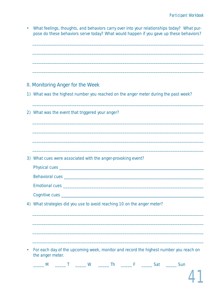|    | What feelings, thoughts, and behaviors carry over into your relationships today? What pur-<br>pose do these behaviors serve today? What would happen if you gave up these behaviors? |
|----|--------------------------------------------------------------------------------------------------------------------------------------------------------------------------------------|
|    |                                                                                                                                                                                      |
|    |                                                                                                                                                                                      |
|    | II. Monitoring Anger for the Week                                                                                                                                                    |
|    | 1) What was the highest number you reached on the anger meter during the past week?                                                                                                  |
|    | 2) What was the event that triggered your anger?                                                                                                                                     |
|    |                                                                                                                                                                                      |
|    |                                                                                                                                                                                      |
|    |                                                                                                                                                                                      |
|    | 3) What cues were associated with the anger-provoking event?                                                                                                                         |
|    |                                                                                                                                                                                      |
|    |                                                                                                                                                                                      |
|    |                                                                                                                                                                                      |
| 4) | What strategies did you use to avoid reaching 10 on the anger meter?                                                                                                                 |
|    |                                                                                                                                                                                      |
|    |                                                                                                                                                                                      |
|    |                                                                                                                                                                                      |
|    | For each day of the upcoming week, monitor and record the highest number you reach on<br>the anger meter.                                                                            |
|    | <b>Th</b><br>Sat<br>M<br>W<br>Sun<br>F<br>Т                                                                                                                                          |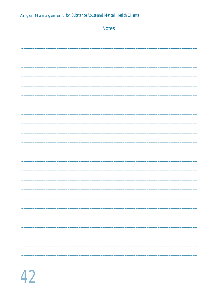| <b>Notes</b> |
|--------------|
|              |
|              |
|              |
|              |
|              |
|              |
|              |
|              |
|              |
|              |
|              |
|              |
|              |
|              |
|              |
| ÷,           |
| _____        |
| -            |
|              |
|              |
| _____        |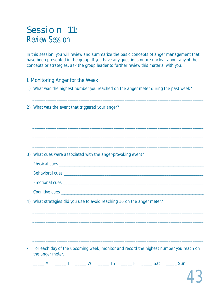# Session 11: Review Session

In this session, you will review and summarize the basic concepts of anger management that have been presented in the group. If you have any questions or are unclear about any of the concepts or strategies, ask the group leader to further review this material with you.

### I. Monitoring Anger for the Week

1) What was the highest number you reached on the anger meter during the past week?

| (2) | What was the event that triggered your anger?                                                             |
|-----|-----------------------------------------------------------------------------------------------------------|
|     |                                                                                                           |
|     |                                                                                                           |
|     |                                                                                                           |
|     |                                                                                                           |
|     | 3) What cues were associated with the anger-provoking event?                                              |
|     |                                                                                                           |
|     |                                                                                                           |
|     |                                                                                                           |
|     |                                                                                                           |
| 4)  | What strategies did you use to avoid reaching 10 on the anger meter?                                      |
|     |                                                                                                           |
|     |                                                                                                           |
|     |                                                                                                           |
|     |                                                                                                           |
|     |                                                                                                           |
|     | For each day of the upcoming week, monitor and record the highest number you reach on<br>the anger meter. |
|     | _____ M ______ T ______ W ______ Th ______ F ______ Sat _____ Sun                                         |
|     |                                                                                                           |

43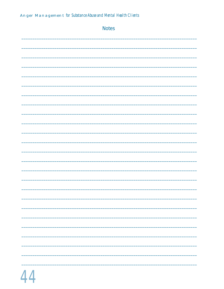| <b>Notes</b> |
|--------------|
|              |
|              |
|              |
|              |
|              |
|              |
|              |
|              |
|              |
|              |
|              |
|              |
|              |
|              |
|              |
| -<br>_____   |
|              |
|              |
|              |
|              |
|              |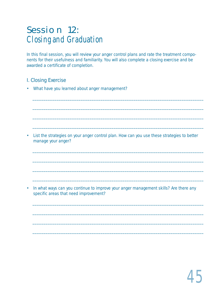# Session 12: Closing and Graduation

In this final session, you will review your anger control plans and rate the treatment components for their usefulness and familiarity. You will also complete a closing exercise and be awarded a certificate of completion.

# I. Closing Exercise

• What have you learned about anger management?

• List the strategies on your anger control plan. How can you use these strategies to better manage your anger?

\_\_\_\_\_\_\_\_\_\_\_\_\_\_\_\_\_\_\_\_\_\_\_\_\_\_\_\_\_\_\_\_\_\_\_\_\_\_\_\_\_\_\_\_\_\_\_\_\_\_\_\_\_\_\_\_\_\_\_\_\_\_\_\_\_\_\_\_\_\_\_\_\_\_\_\_\_\_

\_\_\_\_\_\_\_\_\_\_\_\_\_\_\_\_\_\_\_\_\_\_\_\_\_\_\_\_\_\_\_\_\_\_\_\_\_\_\_\_\_\_\_\_\_\_\_\_\_\_\_\_\_\_\_\_\_\_\_\_\_\_\_\_\_\_\_\_\_\_\_\_\_\_\_\_\_\_

\_\_\_\_\_\_\_\_\_\_\_\_\_\_\_\_\_\_\_\_\_\_\_\_\_\_\_\_\_\_\_\_\_\_\_\_\_\_\_\_\_\_\_\_\_\_\_\_\_\_\_\_\_\_\_\_\_\_\_\_\_\_\_\_\_\_\_\_\_\_\_\_\_\_\_\_\_\_

\_\_\_\_\_\_\_\_\_\_\_\_\_\_\_\_\_\_\_\_\_\_\_\_\_\_\_\_\_\_\_\_\_\_\_\_\_\_\_\_\_\_\_\_\_\_\_\_\_\_\_\_\_\_\_\_\_\_\_\_\_\_\_\_\_\_\_\_\_\_\_\_\_\_\_\_\_\_

\_\_\_\_\_\_\_\_\_\_\_\_\_\_\_\_\_\_\_\_\_\_\_\_\_\_\_\_\_\_\_\_\_\_\_\_\_\_\_\_\_\_\_\_\_\_\_\_\_\_\_\_\_\_\_\_\_\_\_\_\_\_\_\_\_\_\_\_\_\_\_\_\_\_\_\_\_\_

\_\_\_\_\_\_\_\_\_\_\_\_\_\_\_\_\_\_\_\_\_\_\_\_\_\_\_\_\_\_\_\_\_\_\_\_\_\_\_\_\_\_\_\_\_\_\_\_\_\_\_\_\_\_\_\_\_\_\_\_\_\_\_\_\_\_\_\_\_\_\_\_\_\_\_\_\_\_

\_\_\_\_\_\_\_\_\_\_\_\_\_\_\_\_\_\_\_\_\_\_\_\_\_\_\_\_\_\_\_\_\_\_\_\_\_\_\_\_\_\_\_\_\_\_\_\_\_\_\_\_\_\_\_\_\_\_\_\_\_\_\_\_\_\_\_\_\_\_\_\_\_\_\_\_\_\_

\_\_\_\_\_\_\_\_\_\_\_\_\_\_\_\_\_\_\_\_\_\_\_\_\_\_\_\_\_\_\_\_\_\_\_\_\_\_\_\_\_\_\_\_\_\_\_\_\_\_\_\_\_\_\_\_\_\_\_\_\_\_\_\_\_\_\_\_\_\_\_\_\_\_\_\_\_\_

\_\_\_\_\_\_\_\_\_\_\_\_\_\_\_\_\_\_\_\_\_\_\_\_\_\_\_\_\_\_\_\_\_\_\_\_\_\_\_\_\_\_\_\_\_\_\_\_\_\_\_\_\_\_\_\_\_\_\_\_\_\_\_\_\_\_\_\_\_\_\_\_\_\_\_\_\_\_

\_\_\_\_\_\_\_\_\_\_\_\_\_\_\_\_\_\_\_\_\_\_\_\_\_\_\_\_\_\_\_\_\_\_\_\_\_\_\_\_\_\_\_\_\_\_\_\_\_\_\_\_\_\_\_\_\_\_\_\_\_\_\_\_\_\_\_\_\_\_\_\_\_\_\_\_\_\_

\_\_\_\_\_\_\_\_\_\_\_\_\_\_\_\_\_\_\_\_\_\_\_\_\_\_\_\_\_\_\_\_\_\_\_\_\_\_\_\_\_\_\_\_\_\_\_\_\_\_\_\_\_\_\_\_\_\_\_\_\_\_\_\_\_\_\_\_\_\_\_\_\_\_\_\_\_\_

\_\_\_\_\_\_\_\_\_\_\_\_\_\_\_\_\_\_\_\_\_\_\_\_\_\_\_\_\_\_\_\_\_\_\_\_\_\_\_\_\_\_\_\_\_\_\_\_\_\_\_\_\_\_\_\_\_\_\_\_\_\_\_\_\_\_\_\_\_\_\_\_\_\_\_\_\_\_

• In what ways can you continue to improve your anger management skills? Are there any specific areas that need improvement?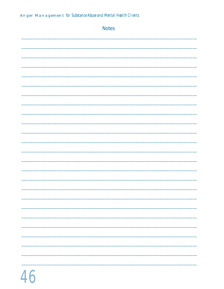| <b>Notes</b>             |
|--------------------------|
|                          |
|                          |
|                          |
|                          |
|                          |
|                          |
|                          |
|                          |
|                          |
|                          |
|                          |
|                          |
|                          |
|                          |
|                          |
|                          |
| $\overline{\phantom{0}}$ |
| -                        |
|                          |
|                          |
|                          |
|                          |
|                          |